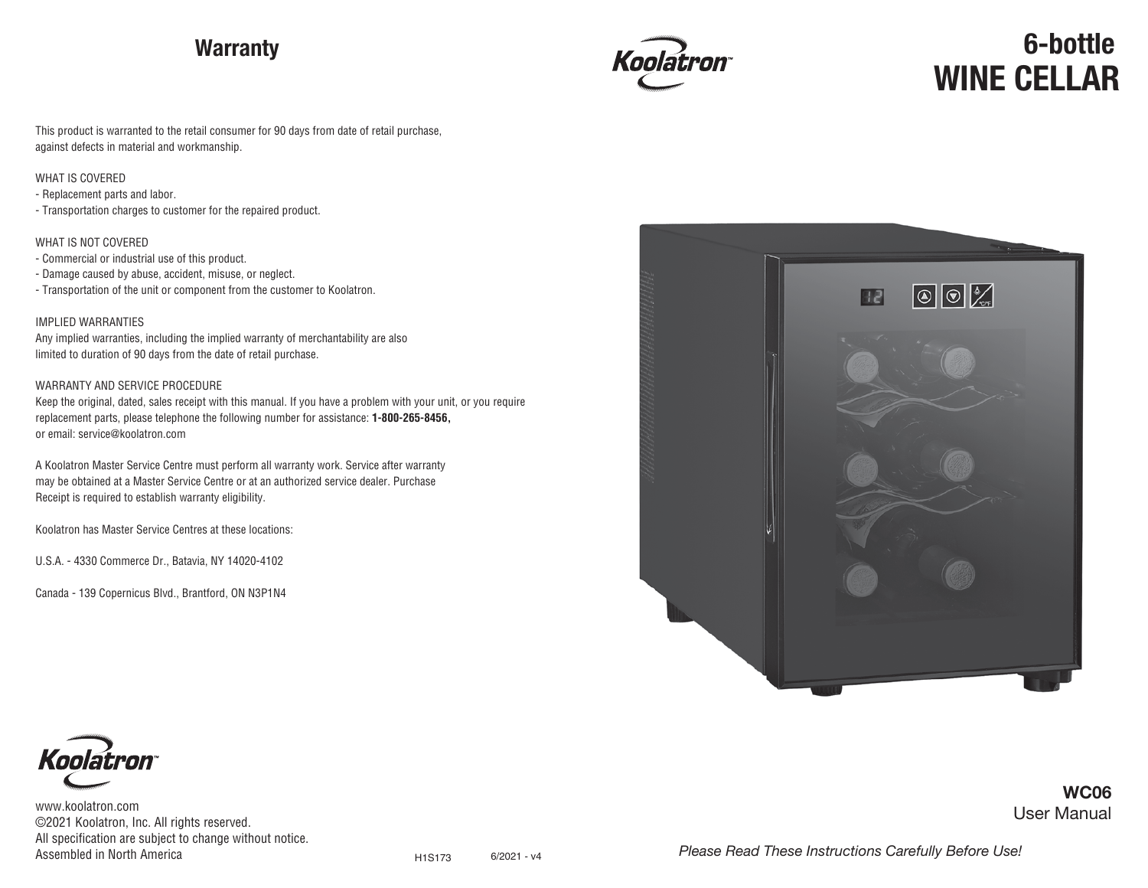## **Warranty**



# **WINE CELLAR 6-bottle**

User Manual

**WC06**

This product is warranted to the retail consumer for 90 days from date of retail purchase, against defects in material and workmanship.

#### WHAT IS COVERED

- Replacement parts and labor.

- Transportation charges to customer for the repaired product.

#### WHAT IS NOT COVERED

- Commercial or industrial use of this product.

- Damage caused by abuse, accident, misuse, or neglect.
- Transportation of the unit or component from the customer to Koolatron.

#### IMPLIED WARRANTIES

Any implied warranties, including the implied warranty of merchantability are also limited to duration of 90 days from the date of retail purchase.

#### WARRANTY AND SERVICE PROCEDURE

Keep the original, dated, sales receipt with this manual. If you have a problem with your unit, or you require replacement parts, please telephone the following number for assistance: **1-800-265-8456,** or email: service@koolatron.com

A Koolatron Master Service Centre must perform all warranty work. Service after warranty may be obtained at a Master Service Centre or at an authorized service dealer. Purchase Receipt is required to establish warranty eligibility.

Koolatron has Master Service Centres at these locations:

U.S.A. - 4330 Commerce Dr., Batavia, NY 14020-4102

Canada - 139 Copernicus Blvd., Brantford, ON N3P1N4





www.koolatron.com ©2021 Koolatron, Inc. All rights reserved. All specification are subject to change without notice. Assembled in North America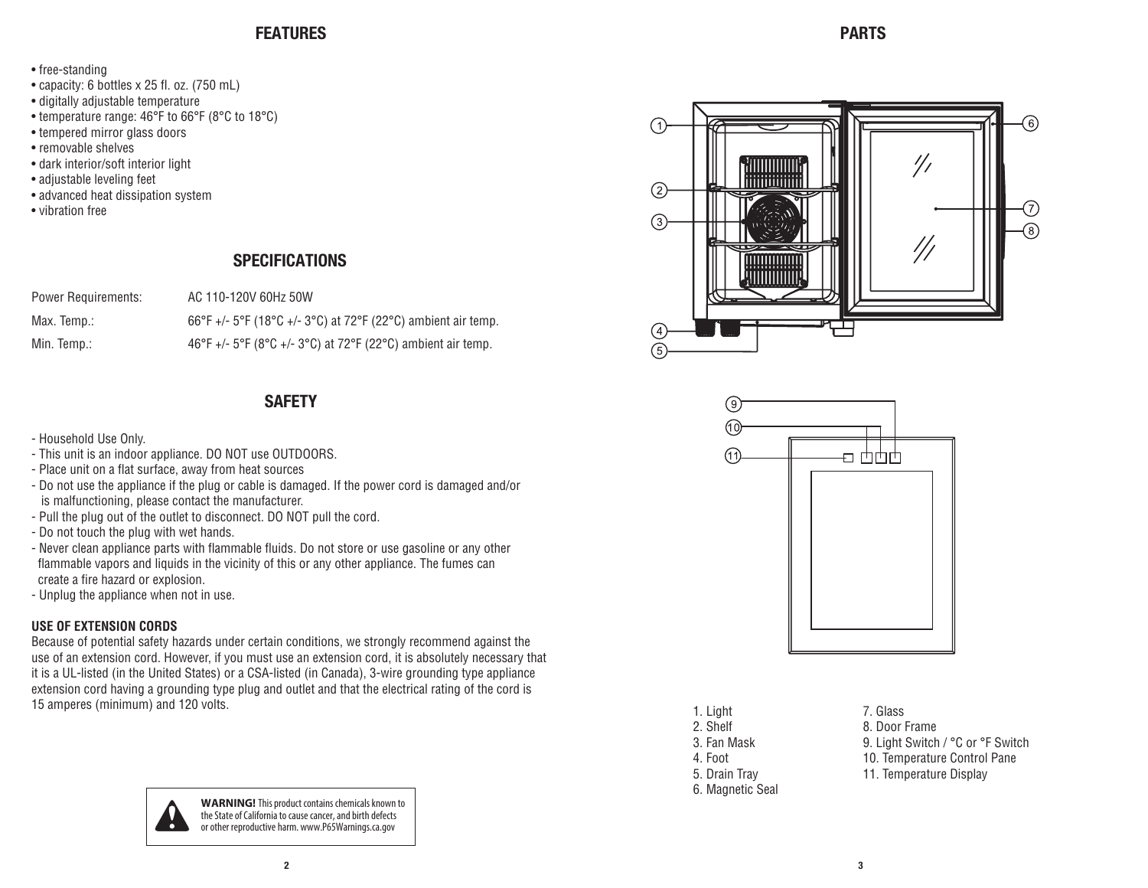## **FEATURES PARTS**

- free-standing
- capacity: 6 bottles x 25 fl. oz. (750 mL)
- digitally adjustable temperature
- temperature range: 46°F to 66°F (8°C to 18°C)
- tempered mirror glass doors
- removable shelves
- dark interior/soft interior light
- adjustable leveling feet
- advanced heat dissipation system
- vibration free

## **SPECIFICATIONS**

| <b>Power Requirements:</b> | AC 110-120V 60Hz 50W                                         |
|----------------------------|--------------------------------------------------------------|
| Max. Temp.:                | 66°F +/- 5°F (18°C +/- 3°C) at 72°F (22°C) ambient air temp. |
| Min. Temp.:                | 46°F +/- 5°F (8°C +/- 3°C) at 72°F (22°C) ambient air temp.  |

## **SAFETY**

- Household Use Only.
- This unit is an indoor appliance. DO NOT use OUTDOORS.
- Place unit on a flat surface, away from heat sources
- Do not use the appliance if the plug or cable is damaged. If the power cord is damaged and/or is malfunctioning, please contact the manufacturer.
- Pull the plug out of the outlet to disconnect. DO NOT pull the cord.
- Do not touch the plug with wet hands.
- Never clean appliance parts with flammable fluids. Do not store or use gasoline or any other flammable vapors and liquids in the vicinity of this or any other appliance. The fumes can create a fire hazard or explosion.
- Unplug the appliance when not in use.

## **USE OF EXTENSION CORDS**

Because of potential safety hazards under certain conditions, we strongly recommend against the use of an extension cord. However, if you must use an extension cord, it is absolutely necessary that it is a UL-listed (in the United States) or a CSA-listed (in Canada), 3-wire grounding type appliance extension cord having a grounding type plug and outlet and that the electrical rating of the cord is 15 amperes (minimum) and 120 volts.



**WARNING!** This product contains chemicals known to the State of California to cause cancer, and birth defects or other reproductive harm. www.P65Warnings.ca.gov





| 1. Light         |  |
|------------------|--|
| 2. Shelf         |  |
| 3. Fan Mask      |  |
| 4. Foot          |  |
| 5. Drain Tray    |  |
| 6. Magnetic Seal |  |

7. Glass 8. Door Frame 9. Light Switch / °C or °F Switch 10. Temperature Control Pane 11. Temperature Display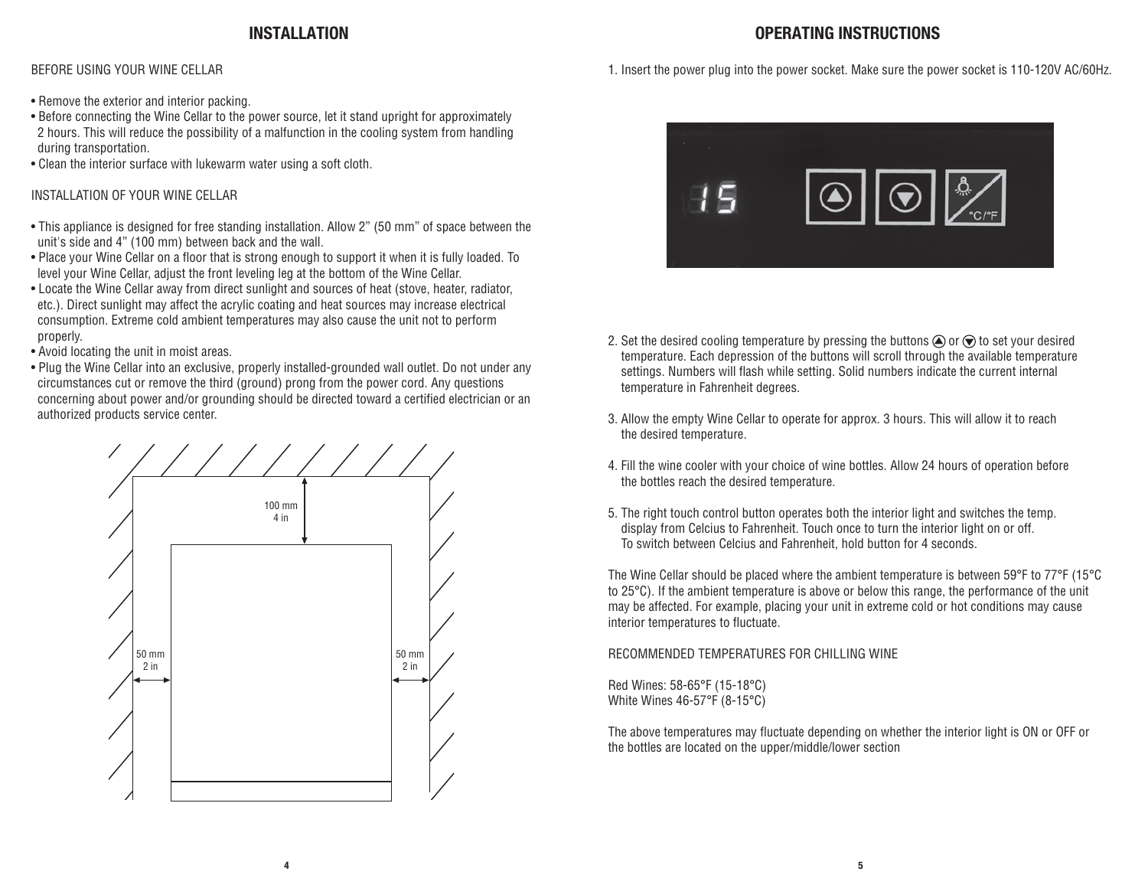## **INSTALLATION OPERATING INSTRUCTIONS**

BEFORE USING YOUR WINE CELLAR

- Remove the exterior and interior packing.
- Before connecting the Wine Cellar to the power source, let it stand upright for approximately 2 hours. This will reduce the possibility of a malfunction in the cooling system from handling during transportation.
- Clean the interior surface with lukewarm water using a soft cloth.

## INSTALLATION OF YOUR WINE CELLAR

- This appliance is designed for free standing installation. Allow 2" (50 mm" of space between the unit's side and 4" (100 mm) between back and the wall.
- Place your Wine Cellar on a floor that is strong enough to support it when it is fully loaded. To level your Wine Cellar, adjust the front leveling leg at the bottom of the Wine Cellar.
- Locate the Wine Cellar away from direct sunlight and sources of heat (stove, heater, radiator, etc.). Direct sunlight may affect the acrylic coating and heat sources may increase electrical consumption. Extreme cold ambient temperatures may also cause the unit not to perform properly.
- Avoid locating the unit in moist areas.
- Plug the Wine Cellar into an exclusive, properly installed-grounded wall outlet. Do not under any circumstances cut or remove the third (ground) prong from the power cord. Any questions concerning about power and/or grounding should be directed toward a certified electrician or an authorized products service center.







- 2. Set the desired cooling temperature by pressing the buttons  $\bigcirc$  or  $\bigcirc$  to set your desired temperature. Each depression of the buttons will scroll through the available temperature settings. Numbers will flash while setting. Solid numbers indicate the current internal temperature in Fahrenheit degrees.
- 3. Allow the empty Wine Cellar to operate for approx. 3 hours. This will allow it to reach the desired temperature.
- 4. Fill the wine cooler with your choice of wine bottles. Allow 24 hours of operation before the bottles reach the desired temperature.
- 5. The right touch control button operates both the interior light and switches the temp. display from Celcius to Fahrenheit. Touch once to turn the interior light on or off. To switch between Celcius and Fahrenheit, hold button for 4 seconds.

The Wine Cellar should be placed where the ambient temperature is between 59°F to 77°F (15°C to 25°C). If the ambient temperature is above or below this range, the performance of the unit may be affected. For example, placing your unit in extreme cold or hot conditions may cause interior temperatures to fluctuate.

#### RECOMMENDED TEMPERATURES FOR CHILLING WINE

Red Wines: 58-65°F (15-18°C) White Wines 46-57°F (8-15°C)

The above temperatures may fluctuate depending on whether the interior light is ON or OFF or the bottles are located on the upper/middle/lower section